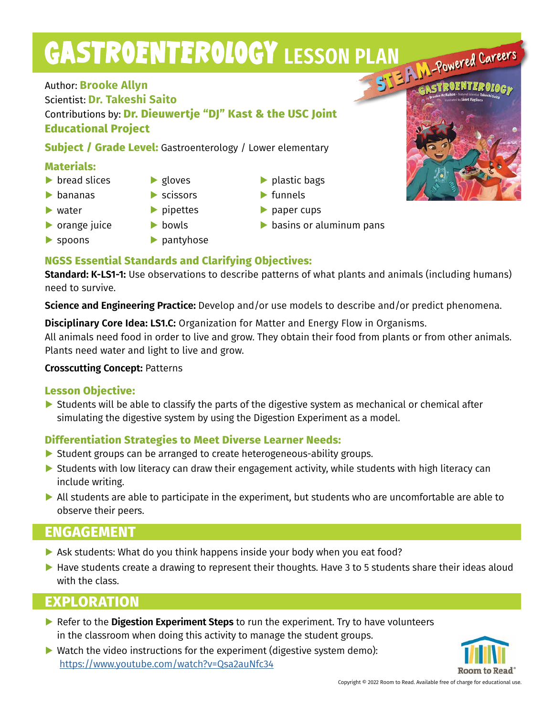# GASTROENTEROLOGY LESSON PLAN Powered Careers

Author: **Brooke Allyn** Scientist: **Dr. Takeshi Saito** Contributions by: **Dr. Dieuwertje "DJ" Kast & the USC Joint Educational Project**

**Subject / Grade Level:** Gastroenterology / Lower elementary

### **Materials:**

- **▶** bread slices
- **▶** bananas
- **▶** water

**▶** spoons

- **▶** orange juice
- **▶** pipettes

**▶** gloves **▶** scissors

- **▶** bowls
- **▶** pantyhose
- **▶** plastic bags
- **▶** funnels
- **▶** paper cups
- **▶** basins or aluminum pans

## **NGSS Essential Standards and Clarifying Objectives:**

**Standard: K-LS1-1:** Use observations to describe patterns of what plants and animals (including humans) need to survive.

**Science and Engineering Practice:** Develop and/or use models to describe and/or predict phenomena.

**Disciplinary Core Idea: LS1.C:** Organization for Matter and Energy Flow in Organisms.

All animals need food in order to live and grow. They obtain their food from plants or from other animals. Plants need water and light to live and grow.

#### **Crosscutting Concept:** Patterns

#### **Lesson Objective:**

▶ Students will be able to classify the parts of the digestive system as mechanical or chemical after simulating the digestive system by using the Digestion Experiment as a model.

## **Differentiation Strategies to Meet Diverse Learner Needs:**

- ▶ Student groups can be arranged to create heterogeneous-ability groups.
- ▶ Students with low literacy can draw their engagement activity, while students with high literacy can include writing.
- **▶** All students are able to participate in the experiment, but students who are uncomfortable are able to observe their peers.

## **ENGAGEMENT**

- **▶** Ask students: What do you think happens inside your body when you eat food?
- ▶ Have students create a drawing to represent their thoughts. Have 3 to 5 students share their ideas aloud with the class.

## **EXPLORATION**

- **▶ Refer to the Digestion Experiment Steps** to run the experiment. Try to have volunteers in the classroom when doing this activity to manage the student groups.
- **▶** Watch the video instructions for the experiment (digestive system demo): https://www.youtube.com/watch?v=Qsa2auNfc34



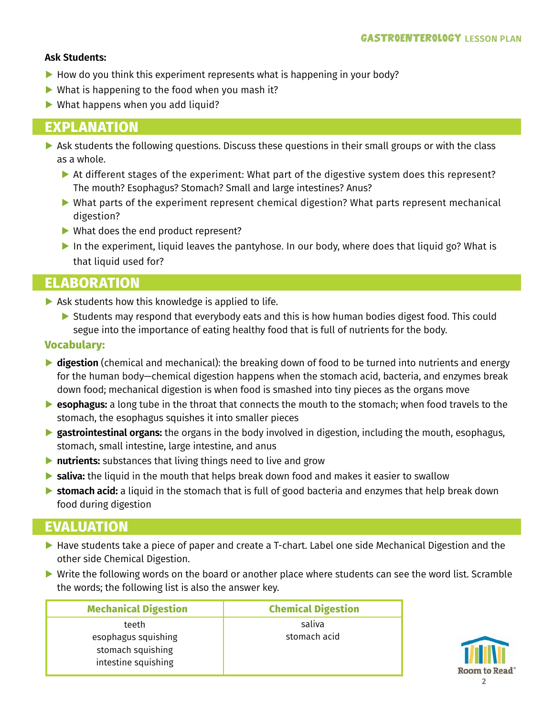#### **Ask Students:**

- ▶ How do you think this experiment represents what is happening in your body?
- ▶ What is happening to the food when you mash it?
- **▶** What happens when you add liquid?

## **EXPLANATION**

- **▶ Ask students the following questions. Discuss these questions in their small groups or with the class** as a whole.
	- ▶ At different stages of the experiment: What part of the digestive system does this represent? The mouth? Esophagus? Stomach? Small and large intestines? Anus?
	- ▶ What parts of the experiment represent chemical digestion? What parts represent mechanical digestion?
	- **▶** What does the end product represent?
	- **▶** In the experiment, liquid leaves the pantyhose. In our body, where does that liquid go? What is that liquid used for?

## **ELABORATION**

- **▶** Ask students how this knowledge is applied to life.
	- ▶ Students may respond that everybody eats and this is how human bodies digest food. This could segue into the importance of eating healthy food that is full of nutrients for the body.

#### **Vocabulary:**

- **▶ digestion** (chemical and mechanical): the breaking down of food to be turned into nutrients and energy for the human body—chemical digestion happens when the stomach acid, bacteria, and enzymes break down food; mechanical digestion is when food is smashed into tiny pieces as the organs move
- **▶ esophagus:** a long tube in the throat that connects the mouth to the stomach; when food travels to the stomach, the esophagus squishes it into smaller pieces
- **▶ gastrointestinal organs:** the organs in the body involved in digestion, including the mouth, esophagus, stomach, small intestine, large intestine, and anus
- **▶ nutrients:** substances that living things need to live and grow
- **▶ saliva:** the liquid in the mouth that helps break down food and makes it easier to swallow
- **▶ stomach acid:** a liquid in the stomach that is full of good bacteria and enzymes that help break down food during digestion

## **EVALUATION**

- ▶ Have students take a piece of paper and create a T-chart. Label one side Mechanical Digestion and the other side Chemical Digestion.
- ▶ Write the following words on the board or another place where students can see the word list. Scramble the words; the following list is also the answer key.

| <b>Mechanical Digestion</b>                                     | <b>Chemical Digestion</b> |
|-----------------------------------------------------------------|---------------------------|
| teeth                                                           | saliva                    |
| esophagus squishing<br>stomach squishing<br>intestine squishing | stomach acid              |

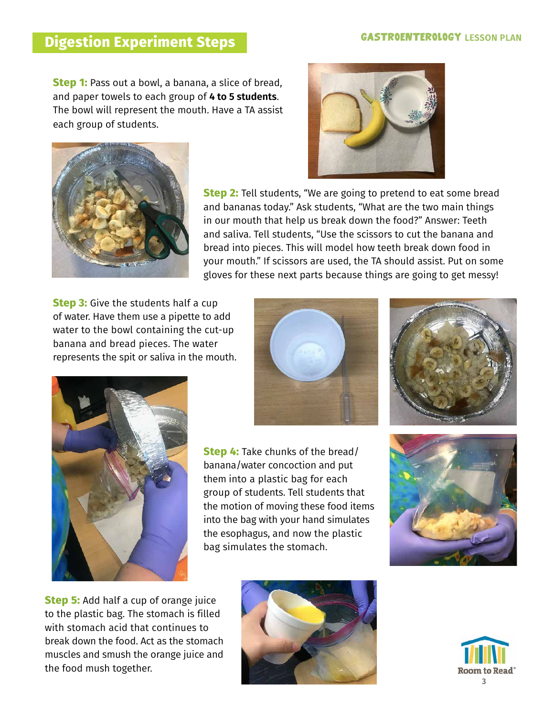#### **GASTROENTEROLOGY LESSON PLAN**

## **Digestion Experiment Steps**

**Step 1:** Pass out a bowl, a banana, a slice of bread, and paper towels to each group of **4 to 5 students**. The bowl will represent the mouth. Have a TA assist each group of students.





**Step 2:** Tell students, "We are going to pretend to eat some bread and bananas today." Ask students, "What are the two main things in our mouth that help us break down the food?" Answer: Teeth and saliva. Tell students, "Use the scissors to cut the banana and bread into pieces. This will model how teeth break down food in your mouth." If scissors are used, the TA should assist. Put on some gloves for these next parts because things are going to get messy!

**Step 3:** Give the students half a cup of water. Have them use a pipette to add water to the bowl containing the cut-up banana and bread pieces. The water represents the spit or saliva in the mouth.







**Step 4:** Take chunks of the bread/ banana/water concoction and put them into a plastic bag for each group of students. Tell students that the motion of moving these food items into the bag with your hand simulates the esophagus, and now the plastic bag simulates the stomach.



**Step 5:** Add half a cup of orange juice to the plastic bag. The stomach is filled with stomach acid that continues to break down the food. Act as the stomach muscles and smush the orange juice and the food mush together.